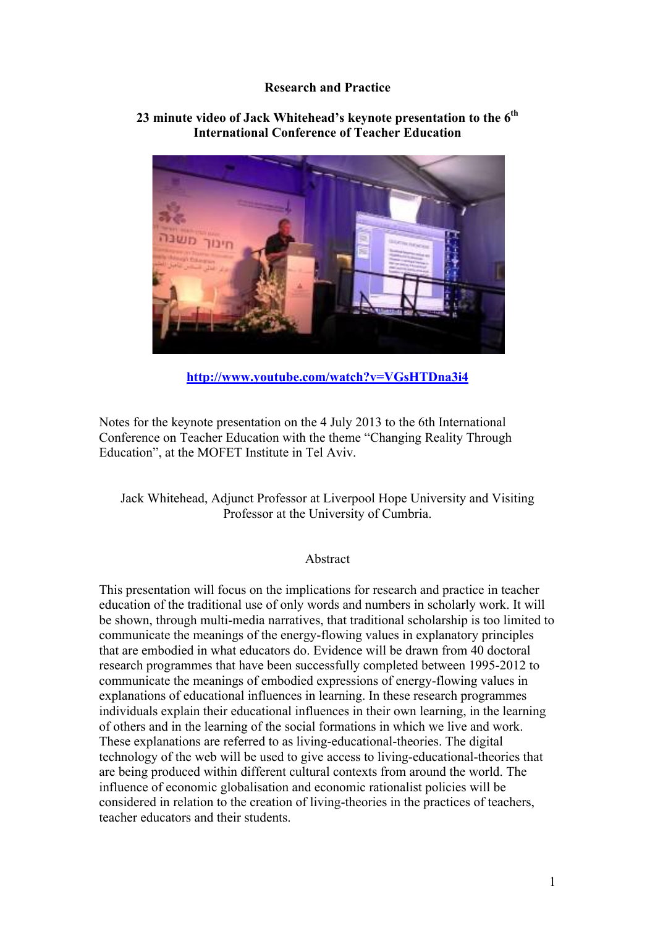## **Research and Practice**

# חינור

# **23 minute video of Jack Whitehead's keynote presentation to the 6th International Conference of Teacher Education**

**http://www.youtube.com/watch?v=VGsHTDna3i4**

Notes for the keynote presentation on the 4 July 2013 to the 6th International Conference on Teacher Education with the theme "Changing Reality Through Education", at the MOFET Institute in Tel Aviv.

Jack Whitehead, Adjunct Professor at Liverpool Hope University and Visiting Professor at the University of Cumbria.

### Abstract

This presentation will focus on the implications for research and practice in teacher education of the traditional use of only words and numbers in scholarly work. It will be shown, through multi-media narratives, that traditional scholarship is too limited to communicate the meanings of the energy-flowing values in explanatory principles that are embodied in what educators do. Evidence will be drawn from 40 doctoral research programmes that have been successfully completed between 1995-2012 to communicate the meanings of embodied expressions of energy-flowing values in explanations of educational influences in learning. In these research programmes individuals explain their educational influences in their own learning, in the learning of others and in the learning of the social formations in which we live and work. These explanations are referred to as living-educational-theories. The digital technology of the web will be used to give access to living-educational-theories that are being produced within different cultural contexts from around the world. The influence of economic globalisation and economic rationalist policies will be considered in relation to the creation of living-theories in the practices of teachers, teacher educators and their students.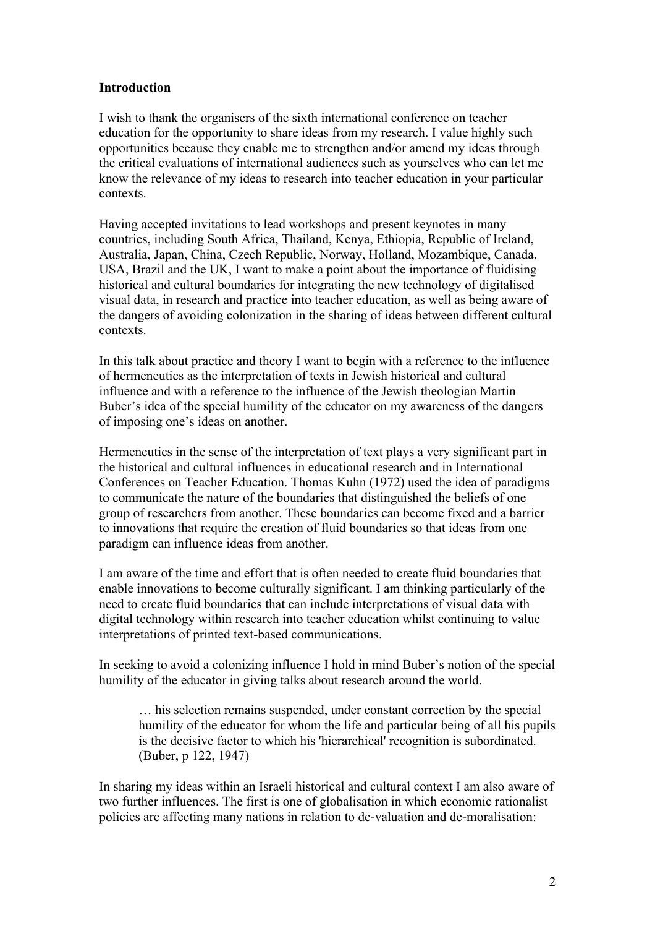### **Introduction**

I wish to thank the organisers of the sixth international conference on teacher education for the opportunity to share ideas from my research. I value highly such opportunities because they enable me to strengthen and/or amend my ideas through the critical evaluations of international audiences such as yourselves who can let me know the relevance of my ideas to research into teacher education in your particular contexts.

Having accepted invitations to lead workshops and present keynotes in many countries, including South Africa, Thailand, Kenya, Ethiopia, Republic of Ireland, Australia, Japan, China, Czech Republic, Norway, Holland, Mozambique, Canada, USA, Brazil and the UK, I want to make a point about the importance of fluidising historical and cultural boundaries for integrating the new technology of digitalised visual data, in research and practice into teacher education, as well as being aware of the dangers of avoiding colonization in the sharing of ideas between different cultural contexts.

In this talk about practice and theory I want to begin with a reference to the influence of hermeneutics as the interpretation of texts in Jewish historical and cultural influence and with a reference to the influence of the Jewish theologian Martin Buber's idea of the special humility of the educator on my awareness of the dangers of imposing one's ideas on another.

Hermeneutics in the sense of the interpretation of text plays a very significant part in the historical and cultural influences in educational research and in International Conferences on Teacher Education. Thomas Kuhn (1972) used the idea of paradigms to communicate the nature of the boundaries that distinguished the beliefs of one group of researchers from another. These boundaries can become fixed and a barrier to innovations that require the creation of fluid boundaries so that ideas from one paradigm can influence ideas from another.

I am aware of the time and effort that is often needed to create fluid boundaries that enable innovations to become culturally significant. I am thinking particularly of the need to create fluid boundaries that can include interpretations of visual data with digital technology within research into teacher education whilst continuing to value interpretations of printed text-based communications.

In seeking to avoid a colonizing influence I hold in mind Buber's notion of the special humility of the educator in giving talks about research around the world.

… his selection remains suspended, under constant correction by the special humility of the educator for whom the life and particular being of all his pupils is the decisive factor to which his 'hierarchical' recognition is subordinated. (Buber, p 122, 1947)

In sharing my ideas within an Israeli historical and cultural context I am also aware of two further influences. The first is one of globalisation in which economic rationalist policies are affecting many nations in relation to de-valuation and de-moralisation: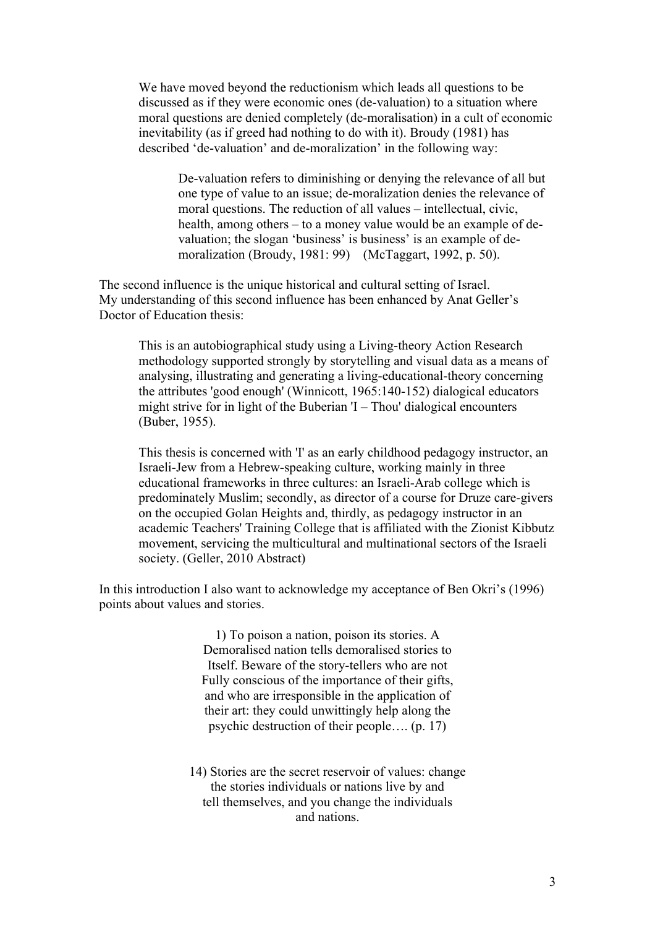We have moved beyond the reductionism which leads all questions to be discussed as if they were economic ones (de-valuation) to a situation where moral questions are denied completely (de-moralisation) in a cult of economic inevitability (as if greed had nothing to do with it). Broudy (1981) has described 'de-valuation' and de-moralization' in the following way:

De-valuation refers to diminishing or denying the relevance of all but one type of value to an issue; de-moralization denies the relevance of moral questions. The reduction of all values – intellectual, civic, health, among others – to a money value would be an example of devaluation; the slogan 'business' is business' is an example of demoralization (Broudy, 1981: 99) (McTaggart, 1992, p. 50).

The second influence is the unique historical and cultural setting of Israel. My understanding of this second influence has been enhanced by Anat Geller's Doctor of Education thesis:

This is an autobiographical study using a Living-theory Action Research methodology supported strongly by storytelling and visual data as a means of analysing, illustrating and generating a living-educational-theory concerning the attributes 'good enough' (Winnicott, 1965:140-152) dialogical educators might strive for in light of the Buberian 'I – Thou' dialogical encounters (Buber, 1955).

This thesis is concerned with 'I' as an early childhood pedagogy instructor, an Israeli-Jew from a Hebrew-speaking culture, working mainly in three educational frameworks in three cultures: an Israeli-Arab college which is predominately Muslim; secondly, as director of a course for Druze care-givers on the occupied Golan Heights and, thirdly, as pedagogy instructor in an academic Teachers' Training College that is affiliated with the Zionist Kibbutz movement, servicing the multicultural and multinational sectors of the Israeli society. (Geller, 2010 Abstract)

In this introduction I also want to acknowledge my acceptance of Ben Okri's (1996) points about values and stories.

> 1) To poison a nation, poison its stories. A Demoralised nation tells demoralised stories to Itself. Beware of the story-tellers who are not Fully conscious of the importance of their gifts, and who are irresponsible in the application of their art: they could unwittingly help along the psychic destruction of their people…. (p. 17)

14) Stories are the secret reservoir of values: change the stories individuals or nations live by and tell themselves, and you change the individuals and nations.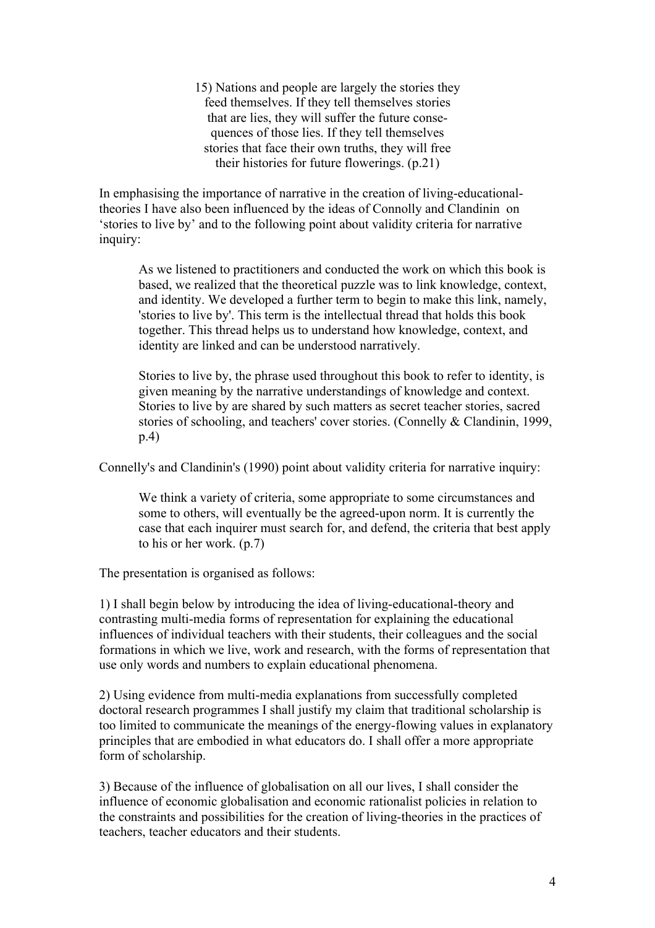15) Nations and people are largely the stories they feed themselves. If they tell themselves stories that are lies, they will suffer the future consequences of those lies. If they tell themselves stories that face their own truths, they will free their histories for future flowerings. (p.21)

In emphasising the importance of narrative in the creation of living-educationaltheories I have also been influenced by the ideas of Connolly and Clandinin on 'stories to live by' and to the following point about validity criteria for narrative inquiry:

As we listened to practitioners and conducted the work on which this book is based, we realized that the theoretical puzzle was to link knowledge, context, and identity. We developed a further term to begin to make this link, namely, 'stories to live by'. This term is the intellectual thread that holds this book together. This thread helps us to understand how knowledge, context, and identity are linked and can be understood narratively.

Stories to live by, the phrase used throughout this book to refer to identity, is given meaning by the narrative understandings of knowledge and context. Stories to live by are shared by such matters as secret teacher stories, sacred stories of schooling, and teachers' cover stories. (Connelly & Clandinin, 1999, p.4)

Connelly's and Clandinin's (1990) point about validity criteria for narrative inquiry:

We think a variety of criteria, some appropriate to some circumstances and some to others, will eventually be the agreed-upon norm. It is currently the case that each inquirer must search for, and defend, the criteria that best apply to his or her work. (p.7)

The presentation is organised as follows:

1) I shall begin below by introducing the idea of living-educational-theory and contrasting multi-media forms of representation for explaining the educational influences of individual teachers with their students, their colleagues and the social formations in which we live, work and research, with the forms of representation that use only words and numbers to explain educational phenomena.

2) Using evidence from multi-media explanations from successfully completed doctoral research programmes I shall justify my claim that traditional scholarship is too limited to communicate the meanings of the energy-flowing values in explanatory principles that are embodied in what educators do. I shall offer a more appropriate form of scholarship.

3) Because of the influence of globalisation on all our lives, I shall consider the influence of economic globalisation and economic rationalist policies in relation to the constraints and possibilities for the creation of living-theories in the practices of teachers, teacher educators and their students.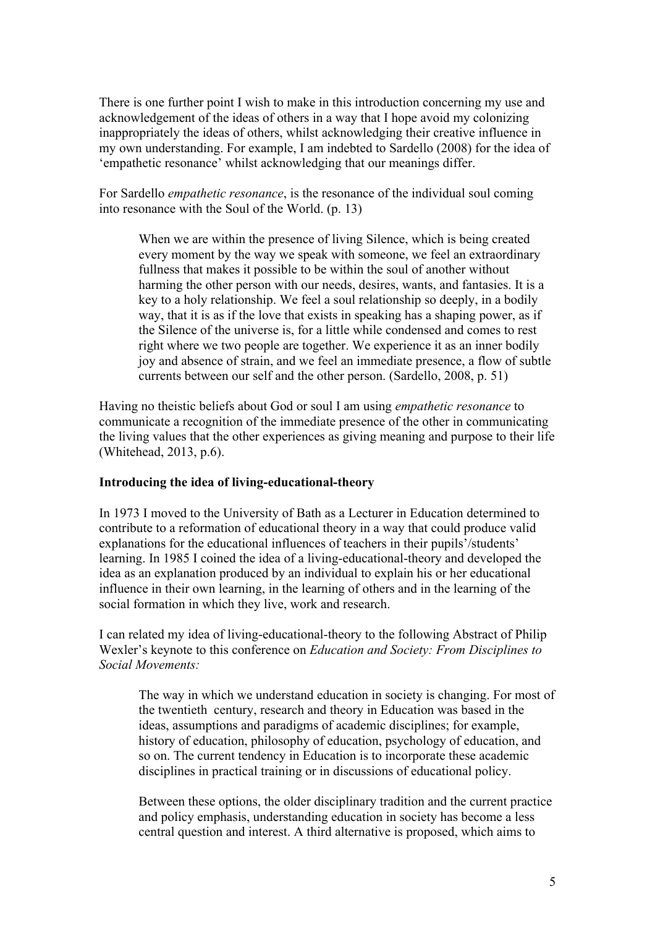There is one further point I wish to make in this introduction concerning my use and acknowledgement of the ideas of others in a way that I hope avoid my colonizing inappropriately the ideas of others, whilst acknowledging their creative influence in my own understanding. For example, I am indebted to Sardello (2008) for the idea of 'empathetic resonance' whilst acknowledging that our meanings differ.

For Sardello *empathetic resonance*, is the resonance of the individual soul coming into resonance with the Soul of the World. (p. 13)

When we are within the presence of living Silence, which is being created every moment by the way we speak with someone, we feel an extraordinary fullness that makes it possible to be within the soul of another without harming the other person with our needs, desires, wants, and fantasies. It is a key to a holy relationship. We feel a soul relationship so deeply, in a bodily way, that it is as if the love that exists in speaking has a shaping power, as if the Silence of the universe is, for a little while condensed and comes to rest right where we two people are together. We experience it as an inner bodily joy and absence of strain, and we feel an immediate presence, a flow of subtle currents between our self and the other person. (Sardello, 2008, p. 51)

Having no theistic beliefs about God or soul I am using *empathetic resonance* to communicate a recognition of the immediate presence of the other in communicating the living values that the other experiences as giving meaning and purpose to their life (Whitehead, 2013, p.6).

### **Introducing the idea of living-educational-theory**

In 1973 I moved to the University of Bath as a Lecturer in Education determined to contribute to a reformation of educational theory in a way that could produce valid explanations for the educational influences of teachers in their pupils'/students' learning. In 1985 I coined the idea of a living-educational-theory and developed the idea as an explanation produced by an individual to explain his or her educational influence in their own learning, in the learning of others and in the learning of the social formation in which they live, work and research.

I can related my idea of living-educational-theory to the following Abstract of Philip Wexler's keynote to this conference on *Education and Society: From Disciplines to Social Movements:*

The way in which we understand education in society is changing. For most of the twentieth century, research and theory in Education was based in the ideas, assumptions and paradigms of academic disciplines; for example, history of education, philosophy of education, psychology of education, and so on. The current tendency in Education is to incorporate these academic disciplines in practical training or in discussions of educational policy.

Between these options, the older disciplinary tradition and the current practice and policy emphasis, understanding education in society has become a less central question and interest. A third alternative is proposed, which aims to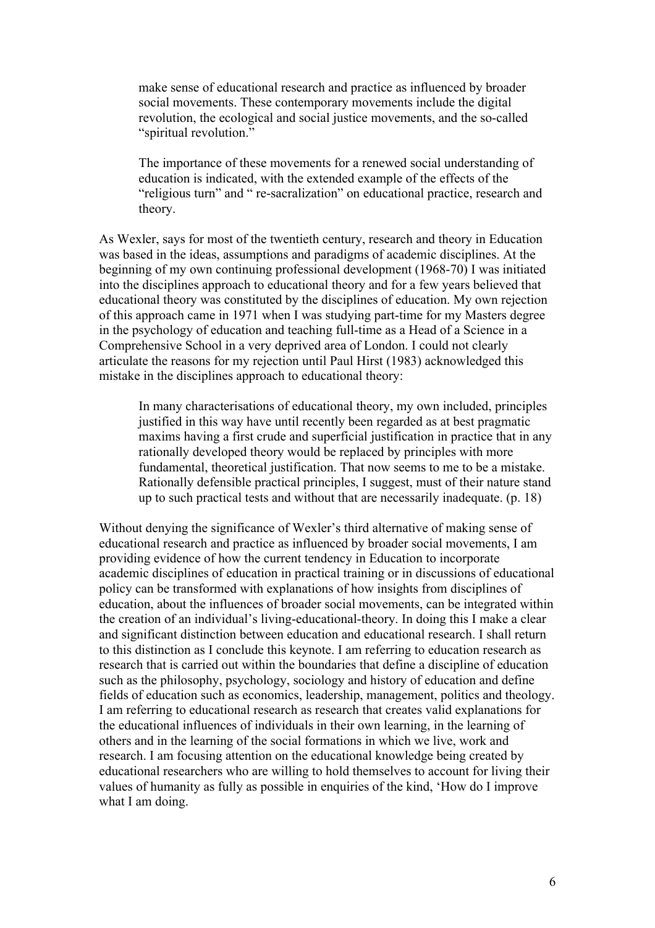make sense of educational research and practice as influenced by broader social movements. These contemporary movements include the digital revolution, the ecological and social justice movements, and the so-called "spiritual revolution."

The importance of these movements for a renewed social understanding of education is indicated, with the extended example of the effects of the "religious turn" and " re-sacralization" on educational practice, research and theory.

As Wexler, says for most of the twentieth century, research and theory in Education was based in the ideas, assumptions and paradigms of academic disciplines. At the beginning of my own continuing professional development (1968-70) I was initiated into the disciplines approach to educational theory and for a few years believed that educational theory was constituted by the disciplines of education. My own rejection of this approach came in 1971 when I was studying part-time for my Masters degree in the psychology of education and teaching full-time as a Head of a Science in a Comprehensive School in a very deprived area of London. I could not clearly articulate the reasons for my rejection until Paul Hirst (1983) acknowledged this mistake in the disciplines approach to educational theory:

In many characterisations of educational theory, my own included, principles justified in this way have until recently been regarded as at best pragmatic maxims having a first crude and superficial justification in practice that in any rationally developed theory would be replaced by principles with more fundamental, theoretical justification. That now seems to me to be a mistake. Rationally defensible practical principles, I suggest, must of their nature stand up to such practical tests and without that are necessarily inadequate. (p. 18)

Without denying the significance of Wexler's third alternative of making sense of educational research and practice as influenced by broader social movements, I am providing evidence of how the current tendency in Education to incorporate academic disciplines of education in practical training or in discussions of educational policy can be transformed with explanations of how insights from disciplines of education, about the influences of broader social movements, can be integrated within the creation of an individual's living-educational-theory. In doing this I make a clear and significant distinction between education and educational research. I shall return to this distinction as I conclude this keynote. I am referring to education research as research that is carried out within the boundaries that define a discipline of education such as the philosophy, psychology, sociology and history of education and define fields of education such as economics, leadership, management, politics and theology. I am referring to educational research as research that creates valid explanations for the educational influences of individuals in their own learning, in the learning of others and in the learning of the social formations in which we live, work and research. I am focusing attention on the educational knowledge being created by educational researchers who are willing to hold themselves to account for living their values of humanity as fully as possible in enquiries of the kind, 'How do I improve what I am doing.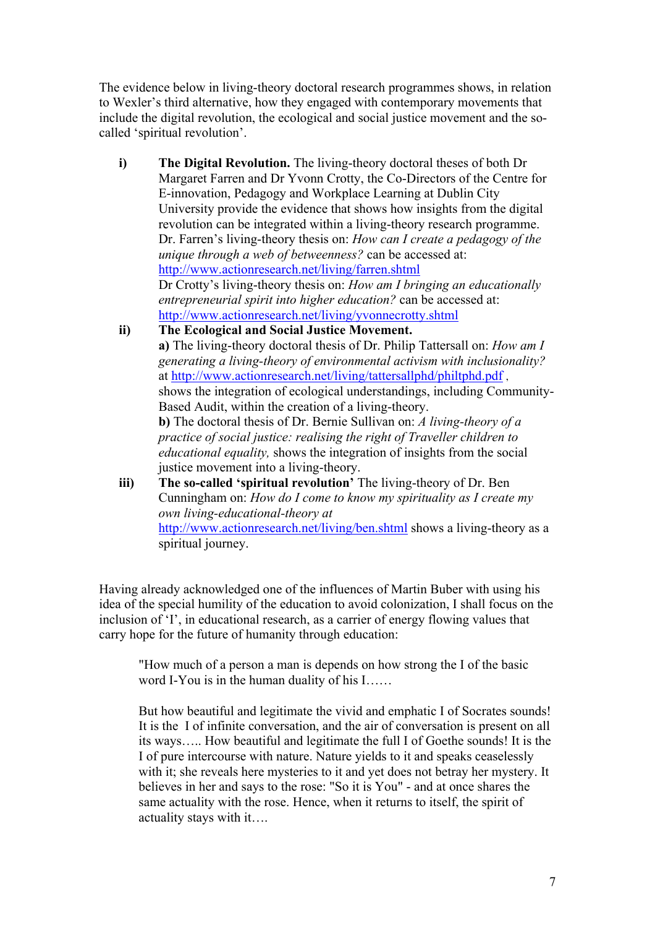The evidence below in living-theory doctoral research programmes shows, in relation to Wexler's third alternative, how they engaged with contemporary movements that include the digital revolution, the ecological and social justice movement and the socalled 'spiritual revolution'.

- **i) The Digital Revolution.** The living-theory doctoral theses of both Dr Margaret Farren and Dr Yvonn Crotty, the Co-Directors of the Centre for E-innovation, Pedagogy and Workplace Learning at Dublin City University provide the evidence that shows how insights from the digital revolution can be integrated within a living-theory research programme. Dr. Farren's living-theory thesis on: *How can I create a pedagogy of the unique through a web of betweenness?* can be accessed at: http://www.actionresearch.net/living/farren.shtml Dr Crotty's living-theory thesis on: *How am I bringing an educationally entrepreneurial spirit into higher education?* can be accessed at: http://www.actionresearch.net/living/yvonnecrotty.shtml
- **ii) The Ecological and Social Justice Movement. a)** The living-theory doctoral thesis of Dr. Philip Tattersall on: *How am I generating a living-theory of environmental activism with inclusionality?* at http://www.actionresearch.net/living/tattersallphd/philtphd.pdf , shows the integration of ecological understandings, including Community-Based Audit, within the creation of a living-theory. **b)** The doctoral thesis of Dr. Bernie Sullivan on: *A living-theory of a practice of social justice: realising the right of Traveller children to educational equality,* shows the integration of insights from the social justice movement into a living-theory.
- **iii) The so-called 'spiritual revolution'** The living-theory of Dr. Ben Cunningham on: *How do I come to know my spirituality as I create my own living-educational-theory at*  http://www.actionresearch.net/living/ben.shtml shows a living-theory as a spiritual journey.

Having already acknowledged one of the influences of Martin Buber with using his idea of the special humility of the education to avoid colonization, I shall focus on the inclusion of 'I', in educational research, as a carrier of energy flowing values that carry hope for the future of humanity through education:

"How much of a person a man is depends on how strong the I of the basic word I-You is in the human duality of his I……

But how beautiful and legitimate the vivid and emphatic I of Socrates sounds! It is the I of infinite conversation, and the air of conversation is present on all its ways….. How beautiful and legitimate the full I of Goethe sounds! It is the I of pure intercourse with nature. Nature yields to it and speaks ceaselessly with it; she reveals here mysteries to it and yet does not betray her mystery. It believes in her and says to the rose: "So it is You" - and at once shares the same actuality with the rose. Hence, when it returns to itself, the spirit of actuality stays with it….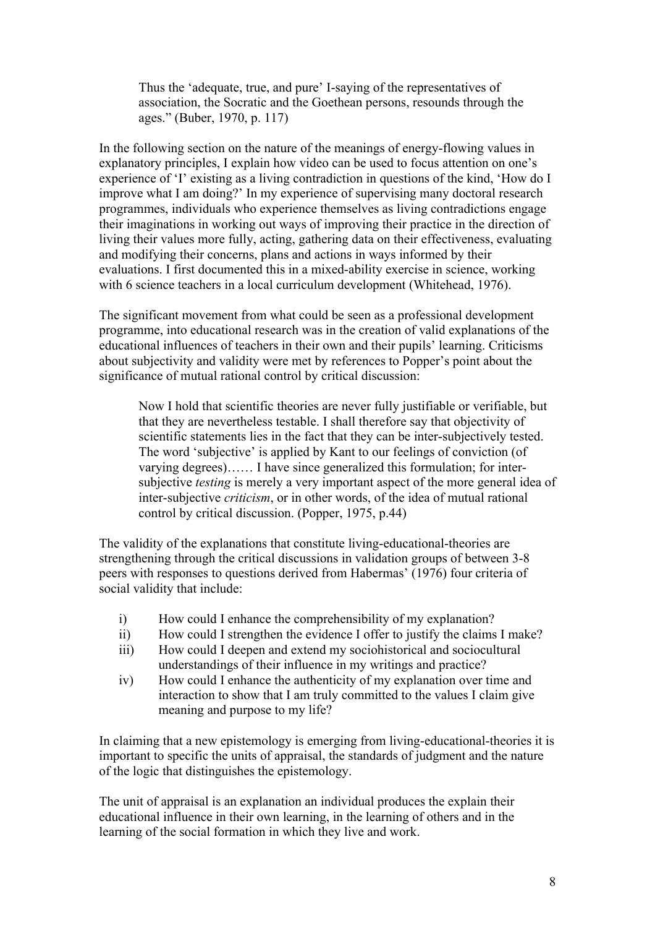Thus the 'adequate, true, and pure' I-saying of the representatives of association, the Socratic and the Goethean persons, resounds through the ages." (Buber, 1970, p. 117)

In the following section on the nature of the meanings of energy-flowing values in explanatory principles, I explain how video can be used to focus attention on one's experience of 'I' existing as a living contradiction in questions of the kind, 'How do I improve what I am doing?' In my experience of supervising many doctoral research programmes, individuals who experience themselves as living contradictions engage their imaginations in working out ways of improving their practice in the direction of living their values more fully, acting, gathering data on their effectiveness, evaluating and modifying their concerns, plans and actions in ways informed by their evaluations. I first documented this in a mixed-ability exercise in science, working with 6 science teachers in a local curriculum development (Whitehead, 1976).

The significant movement from what could be seen as a professional development programme, into educational research was in the creation of valid explanations of the educational influences of teachers in their own and their pupils' learning. Criticisms about subjectivity and validity were met by references to Popper's point about the significance of mutual rational control by critical discussion:

Now I hold that scientific theories are never fully justifiable or verifiable, but that they are nevertheless testable. I shall therefore say that objectivity of scientific statements lies in the fact that they can be inter-subjectively tested. The word 'subjective' is applied by Kant to our feelings of conviction (of varying degrees)…… I have since generalized this formulation; for intersubjective *testing* is merely a very important aspect of the more general idea of inter-subjective *criticism*, or in other words, of the idea of mutual rational control by critical discussion. (Popper, 1975, p.44)

The validity of the explanations that constitute living-educational-theories are strengthening through the critical discussions in validation groups of between 3-8 peers with responses to questions derived from Habermas' (1976) four criteria of social validity that include:

- i) How could I enhance the comprehensibility of my explanation?
- ii) How could I strengthen the evidence I offer to justify the claims I make?
- iii) How could I deepen and extend my sociohistorical and sociocultural understandings of their influence in my writings and practice?
- iv) How could I enhance the authenticity of my explanation over time and interaction to show that I am truly committed to the values I claim give meaning and purpose to my life?

In claiming that a new epistemology is emerging from living-educational-theories it is important to specific the units of appraisal, the standards of judgment and the nature of the logic that distinguishes the epistemology.

The unit of appraisal is an explanation an individual produces the explain their educational influence in their own learning, in the learning of others and in the learning of the social formation in which they live and work.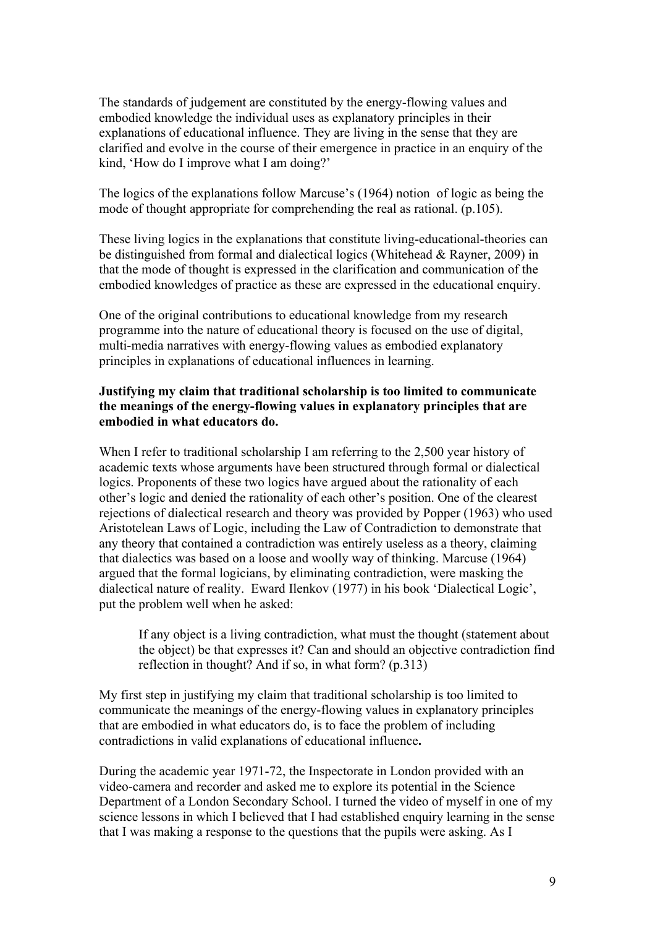The standards of judgement are constituted by the energy-flowing values and embodied knowledge the individual uses as explanatory principles in their explanations of educational influence. They are living in the sense that they are clarified and evolve in the course of their emergence in practice in an enquiry of the kind, 'How do I improve what I am doing?'

The logics of the explanations follow Marcuse's (1964) notion of logic as being the mode of thought appropriate for comprehending the real as rational. (p.105).

These living logics in the explanations that constitute living-educational-theories can be distinguished from formal and dialectical logics (Whitehead & Rayner, 2009) in that the mode of thought is expressed in the clarification and communication of the embodied knowledges of practice as these are expressed in the educational enquiry.

One of the original contributions to educational knowledge from my research programme into the nature of educational theory is focused on the use of digital, multi-media narratives with energy-flowing values as embodied explanatory principles in explanations of educational influences in learning.

## **Justifying my claim that traditional scholarship is too limited to communicate the meanings of the energy-flowing values in explanatory principles that are embodied in what educators do.**

When I refer to traditional scholarship I am referring to the 2,500 year history of academic texts whose arguments have been structured through formal or dialectical logics. Proponents of these two logics have argued about the rationality of each other's logic and denied the rationality of each other's position. One of the clearest rejections of dialectical research and theory was provided by Popper (1963) who used Aristotelean Laws of Logic, including the Law of Contradiction to demonstrate that any theory that contained a contradiction was entirely useless as a theory, claiming that dialectics was based on a loose and woolly way of thinking. Marcuse (1964) argued that the formal logicians, by eliminating contradiction, were masking the dialectical nature of reality. Eward Ilenkov (1977) in his book 'Dialectical Logic', put the problem well when he asked:

If any object is a living contradiction, what must the thought (statement about the object) be that expresses it? Can and should an objective contradiction find reflection in thought? And if so, in what form? (p.313)

My first step in justifying my claim that traditional scholarship is too limited to communicate the meanings of the energy-flowing values in explanatory principles that are embodied in what educators do, is to face the problem of including contradictions in valid explanations of educational influence**.**

During the academic year 1971-72, the Inspectorate in London provided with an video-camera and recorder and asked me to explore its potential in the Science Department of a London Secondary School. I turned the video of myself in one of my science lessons in which I believed that I had established enquiry learning in the sense that I was making a response to the questions that the pupils were asking. As I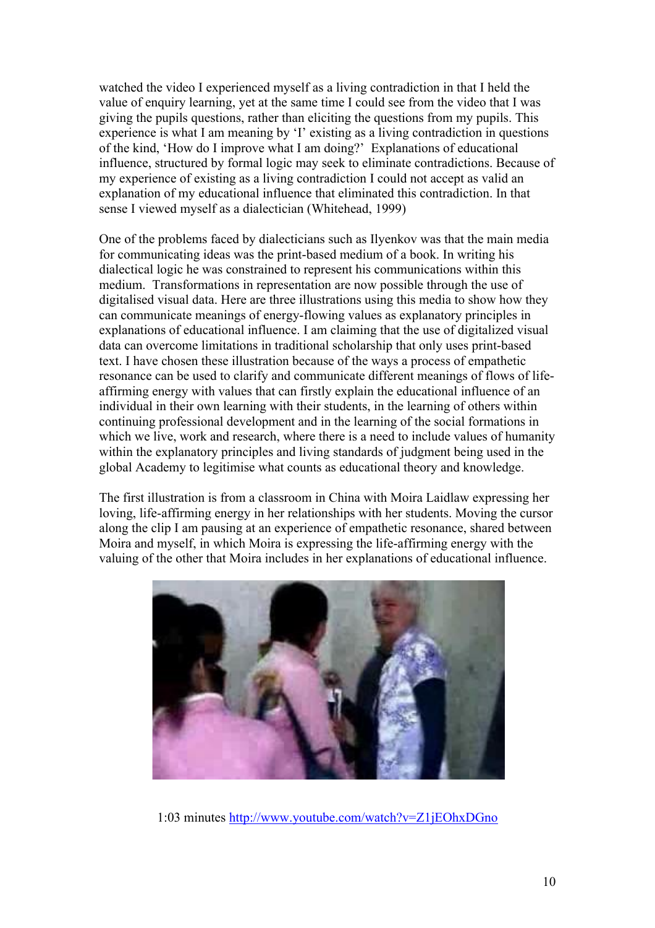watched the video I experienced myself as a living contradiction in that I held the value of enquiry learning, yet at the same time I could see from the video that I was giving the pupils questions, rather than eliciting the questions from my pupils. This experience is what I am meaning by 'I' existing as a living contradiction in questions of the kind, 'How do I improve what I am doing?' Explanations of educational influence, structured by formal logic may seek to eliminate contradictions. Because of my experience of existing as a living contradiction I could not accept as valid an explanation of my educational influence that eliminated this contradiction. In that sense I viewed myself as a dialectician (Whitehead, 1999)

One of the problems faced by dialecticians such as Ilyenkov was that the main media for communicating ideas was the print-based medium of a book. In writing his dialectical logic he was constrained to represent his communications within this medium. Transformations in representation are now possible through the use of digitalised visual data. Here are three illustrations using this media to show how they can communicate meanings of energy-flowing values as explanatory principles in explanations of educational influence. I am claiming that the use of digitalized visual data can overcome limitations in traditional scholarship that only uses print-based text. I have chosen these illustration because of the ways a process of empathetic resonance can be used to clarify and communicate different meanings of flows of lifeaffirming energy with values that can firstly explain the educational influence of an individual in their own learning with their students, in the learning of others within continuing professional development and in the learning of the social formations in which we live, work and research, where there is a need to include values of humanity within the explanatory principles and living standards of judgment being used in the global Academy to legitimise what counts as educational theory and knowledge.

The first illustration is from a classroom in China with Moira Laidlaw expressing her loving, life-affirming energy in her relationships with her students. Moving the cursor along the clip I am pausing at an experience of empathetic resonance, shared between Moira and myself, in which Moira is expressing the life-affirming energy with the valuing of the other that Moira includes in her explanations of educational influence.



1:03 minutes http://www.youtube.com/watch?v=Z1jEOhxDGno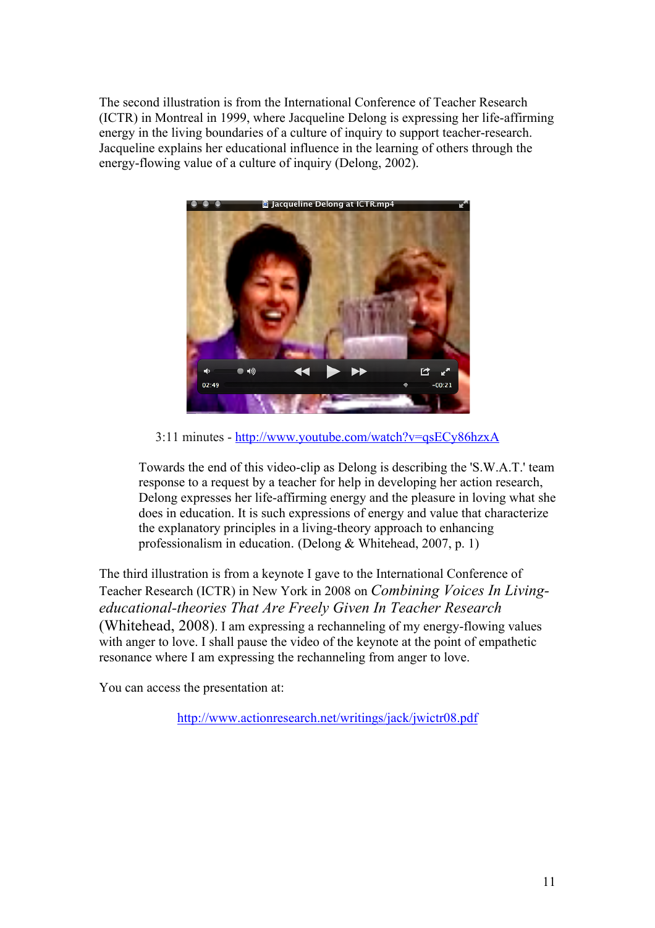The second illustration is from the International Conference of Teacher Research (ICTR) in Montreal in 1999, where Jacqueline Delong is expressing her life-affirming energy in the living boundaries of a culture of inquiry to support teacher-research. Jacqueline explains her educational influence in the learning of others through the energy-flowing value of a culture of inquiry (Delong, 2002).



3:11 minutes - http://www.youtube.com/watch?v=qsECy86hzxA

Towards the end of this video-clip as Delong is describing the 'S.W.A.T.' team response to a request by a teacher for help in developing her action research, Delong expresses her life-affirming energy and the pleasure in loving what she does in education. It is such expressions of energy and value that characterize the explanatory principles in a living-theory approach to enhancing professionalism in education. (Delong & Whitehead, 2007, p. 1)

The third illustration is from a keynote I gave to the International Conference of Teacher Research (ICTR) in New York in 2008 on *Combining Voices In Livingeducational-theories That Are Freely Given In Teacher Research* (Whitehead, 2008). I am expressing a rechanneling of my energy-flowing values with anger to love. I shall pause the video of the keynote at the point of empathetic resonance where I am expressing the rechanneling from anger to love.

You can access the presentation at:

http://www.actionresearch.net/writings/jack/jwictr08.pdf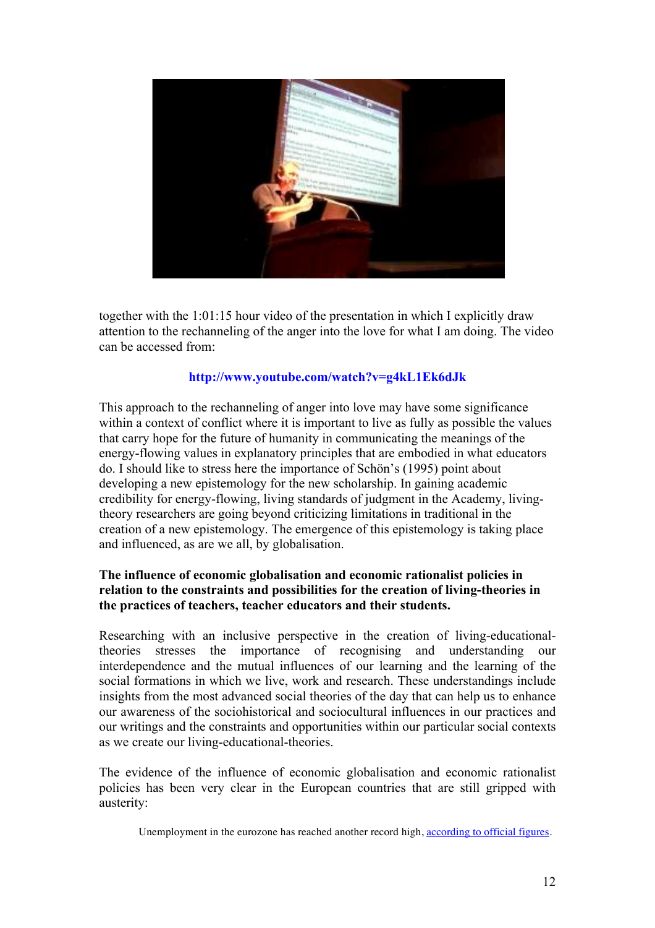

together with the 1:01:15 hour video of the presentation in which I explicitly draw attention to the rechanneling of the anger into the love for what I am doing. The video can be accessed from:

# **http://www.youtube.com/watch?v=g4kL1Ek6dJk**

This approach to the rechanneling of anger into love may have some significance within a context of conflict where it is important to live as fully as possible the values that carry hope for the future of humanity in communicating the meanings of the energy-flowing values in explanatory principles that are embodied in what educators do. I should like to stress here the importance of Schön's (1995) point about developing a new epistemology for the new scholarship. In gaining academic credibility for energy-flowing, living standards of judgment in the Academy, livingtheory researchers are going beyond criticizing limitations in traditional in the creation of a new epistemology. The emergence of this epistemology is taking place and influenced, as are we all, by globalisation.

# **The influence of economic globalisation and economic rationalist policies in relation to the constraints and possibilities for the creation of living-theories in the practices of teachers, teacher educators and their students.**

Researching with an inclusive perspective in the creation of living-educationaltheories stresses the importance of recognising and understanding our interdependence and the mutual influences of our learning and the learning of the social formations in which we live, work and research. These understandings include insights from the most advanced social theories of the day that can help us to enhance our awareness of the sociohistorical and sociocultural influences in our practices and our writings and the constraints and opportunities within our particular social contexts as we create our living-educational-theories.

The evidence of the influence of economic globalisation and economic rationalist policies has been very clear in the European countries that are still gripped with austerity:

Unemployment in the eurozone has reached another record high, according to official figures.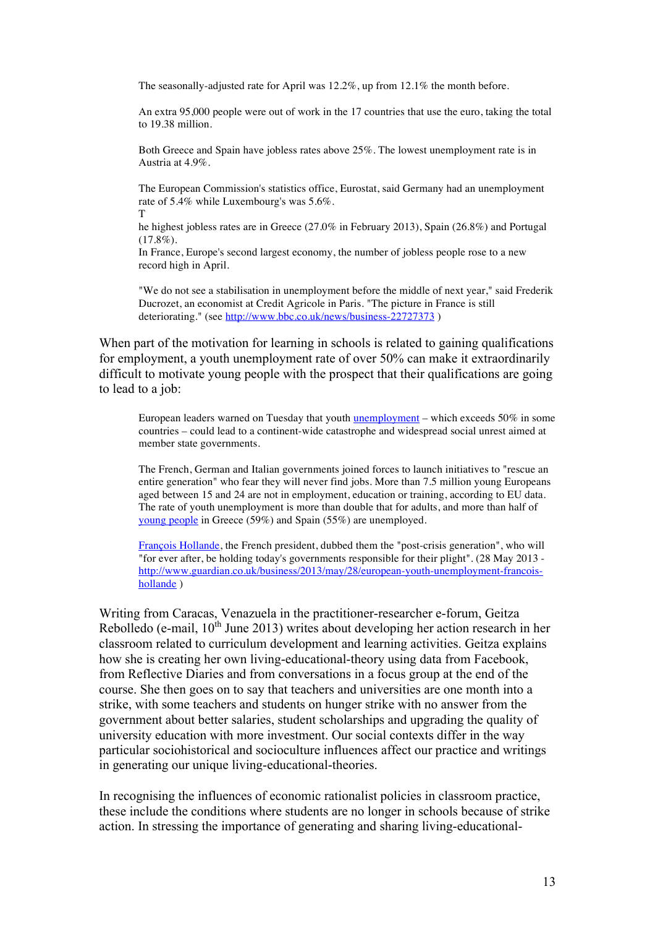The seasonally-adjusted rate for April was 12.2%, up from 12.1% the month before.

An extra 95,000 people were out of work in the 17 countries that use the euro, taking the total to 19.38 million.

Both Greece and Spain have jobless rates above 25%. The lowest unemployment rate is in Austria at 4.9%.

The European Commission's statistics office, Eurostat, said Germany had an unemployment rate of 5.4% while Luxembourg's was 5.6%. T

he highest jobless rates are in Greece (27.0% in February 2013), Spain (26.8%) and Portugal  $(17.8\%)$ .

In France, Europe's second largest economy, the number of jobless people rose to a new record high in April.

"We do not see a stabilisation in unemployment before the middle of next year," said Frederik Ducrozet, an economist at Credit Agricole in Paris. "The picture in France is still deteriorating." (see http://www.bbc.co.uk/news/business-22727373 )

When part of the motivation for learning in schools is related to gaining qualifications for employment, a youth unemployment rate of over 50% can make it extraordinarily difficult to motivate young people with the prospect that their qualifications are going to lead to a job:

European leaders warned on Tuesday that youth unemployment – which exceeds 50% in some countries – could lead to a continent-wide catastrophe and widespread social unrest aimed at member state governments.

The French, German and Italian governments joined forces to launch initiatives to "rescue an entire generation" who fear they will never find jobs. More than 7.5 million young Europeans aged between 15 and 24 are not in employment, education or training, according to EU data. The rate of youth unemployment is more than double that for adults, and more than half of young people in Greece (59%) and Spain (55%) are unemployed.

François Hollande, the French president, dubbed them the "post-crisis generation", who will "for ever after, be holding today's governments responsible for their plight". (28 May 2013 http://www.guardian.co.uk/business/2013/may/28/european-youth-unemployment-francoishollande )

Writing from Caracas, Venazuela in the practitioner-researcher e-forum, Geitza Rebolledo (e-mail, 10<sup>th</sup> June 2013) writes about developing her action research in her classroom related to curriculum development and learning activities. Geitza explains how she is creating her own living-educational-theory using data from Facebook, from Reflective Diaries and from conversations in a focus group at the end of the course. She then goes on to say that teachers and universities are one month into a strike, with some teachers and students on hunger strike with no answer from the government about better salaries, student scholarships and upgrading the quality of university education with more investment. Our social contexts differ in the way particular sociohistorical and socioculture influences affect our practice and writings in generating our unique living-educational-theories.

In recognising the influences of economic rationalist policies in classroom practice, these include the conditions where students are no longer in schools because of strike action. In stressing the importance of generating and sharing living-educational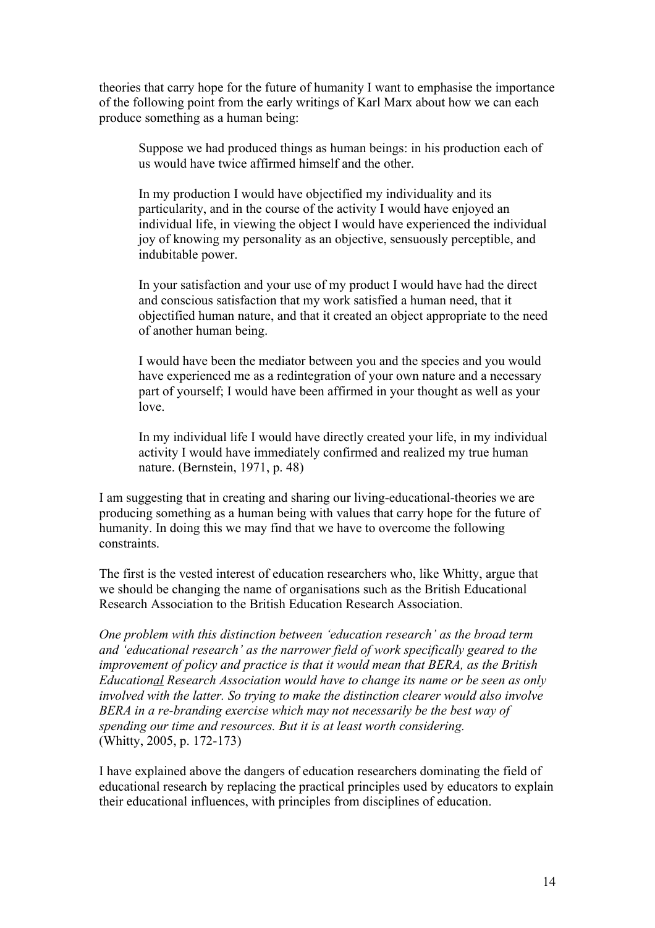theories that carry hope for the future of humanity I want to emphasise the importance of the following point from the early writings of Karl Marx about how we can each produce something as a human being:

Suppose we had produced things as human beings: in his production each of us would have twice affirmed himself and the other.

In my production I would have objectified my individuality and its particularity, and in the course of the activity I would have enjoyed an individual life, in viewing the object I would have experienced the individual joy of knowing my personality as an objective, sensuously perceptible, and indubitable power.

In your satisfaction and your use of my product I would have had the direct and conscious satisfaction that my work satisfied a human need, that it objectified human nature, and that it created an object appropriate to the need of another human being.

I would have been the mediator between you and the species and you would have experienced me as a redintegration of your own nature and a necessary part of yourself; I would have been affirmed in your thought as well as your love.

In my individual life I would have directly created your life, in my individual activity I would have immediately confirmed and realized my true human nature. (Bernstein, 1971, p. 48)

I am suggesting that in creating and sharing our living-educational-theories we are producing something as a human being with values that carry hope for the future of humanity. In doing this we may find that we have to overcome the following constraints.

The first is the vested interest of education researchers who, like Whitty, argue that we should be changing the name of organisations such as the British Educational Research Association to the British Education Research Association.

*One problem with this distinction between 'education research' as the broad term and 'educational research' as the narrower field of work specifically geared to the improvement of policy and practice is that it would mean that BERA, as the British Educational Research Association would have to change its name or be seen as only involved with the latter. So trying to make the distinction clearer would also involve BERA in a re-branding exercise which may not necessarily be the best way of spending our time and resources. But it is at least worth considering.* (Whitty, 2005, p. 172-173)

I have explained above the dangers of education researchers dominating the field of educational research by replacing the practical principles used by educators to explain their educational influences, with principles from disciplines of education.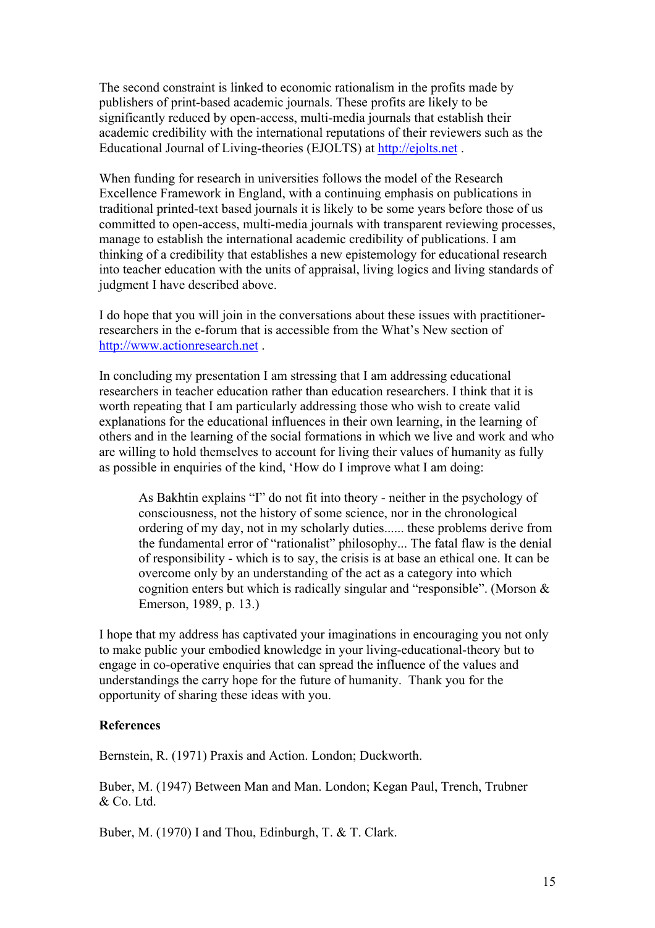The second constraint is linked to economic rationalism in the profits made by publishers of print-based academic journals. These profits are likely to be significantly reduced by open-access, multi-media journals that establish their academic credibility with the international reputations of their reviewers such as the Educational Journal of Living-theories (EJOLTS) at http://ejolts.net .

When funding for research in universities follows the model of the Research Excellence Framework in England, with a continuing emphasis on publications in traditional printed-text based journals it is likely to be some years before those of us committed to open-access, multi-media journals with transparent reviewing processes, manage to establish the international academic credibility of publications. I am thinking of a credibility that establishes a new epistemology for educational research into teacher education with the units of appraisal, living logics and living standards of judgment I have described above.

I do hope that you will join in the conversations about these issues with practitionerresearchers in the e-forum that is accessible from the What's New section of http://www.actionresearch.net .

In concluding my presentation I am stressing that I am addressing educational researchers in teacher education rather than education researchers. I think that it is worth repeating that I am particularly addressing those who wish to create valid explanations for the educational influences in their own learning, in the learning of others and in the learning of the social formations in which we live and work and who are willing to hold themselves to account for living their values of humanity as fully as possible in enquiries of the kind, 'How do I improve what I am doing:

As Bakhtin explains "I" do not fit into theory - neither in the psychology of consciousness, not the history of some science, nor in the chronological ordering of my day, not in my scholarly duties...... these problems derive from the fundamental error of "rationalist" philosophy... The fatal flaw is the denial of responsibility - which is to say, the crisis is at base an ethical one. It can be overcome only by an understanding of the act as a category into which cognition enters but which is radically singular and "responsible". (Morson & Emerson, 1989, p. 13.)

I hope that my address has captivated your imaginations in encouraging you not only to make public your embodied knowledge in your living-educational-theory but to engage in co-operative enquiries that can spread the influence of the values and understandings the carry hope for the future of humanity. Thank you for the opportunity of sharing these ideas with you.

### **References**

Bernstein, R. (1971) Praxis and Action. London; Duckworth.

Buber, M. (1947) Between Man and Man. London; Kegan Paul, Trench, Trubner & Co. Ltd.

Buber, M. (1970) I and Thou, Edinburgh, T. & T. Clark.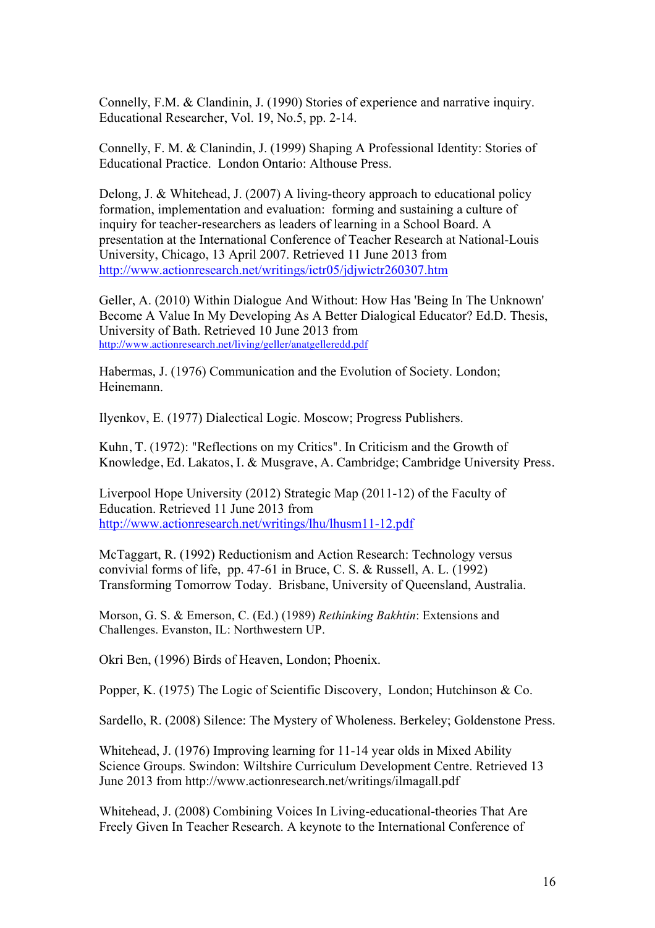Connelly, F.M. & Clandinin, J. (1990) Stories of experience and narrative inquiry. Educational Researcher, Vol. 19, No.5, pp. 2-14.

Connelly, F. M. & Clanindin, J. (1999) Shaping A Professional Identity: Stories of Educational Practice. London Ontario: Althouse Press.

Delong, J. & Whitehead, J. (2007) A living-theory approach to educational policy formation, implementation and evaluation: forming and sustaining a culture of inquiry for teacher-researchers as leaders of learning in a School Board. A presentation at the International Conference of Teacher Research at National-Louis University, Chicago, 13 April 2007. Retrieved 11 June 2013 from http://www.actionresearch.net/writings/ictr05/jdjwictr260307.htm

Geller, A. (2010) Within Dialogue And Without: How Has 'Being In The Unknown' Become A Value In My Developing As A Better Dialogical Educator? Ed.D. Thesis, University of Bath. Retrieved 10 June 2013 from http://www.actionresearch.net/living/geller/anatgelleredd.pdf

Habermas, J. (1976) Communication and the Evolution of Society. London; Heinemann.

Ilyenkov, E. (1977) Dialectical Logic. Moscow; Progress Publishers.

Kuhn, T. (1972): "Reflections on my Critics". In Criticism and the Growth of Knowledge, Ed. Lakatos, I. & Musgrave, A. Cambridge; Cambridge University Press.

Liverpool Hope University (2012) Strategic Map (2011-12) of the Faculty of Education. Retrieved 11 June 2013 from http://www.actionresearch.net/writings/lhu/lhusm11-12.pdf

McTaggart, R. (1992) Reductionism and Action Research: Technology versus convivial forms of life, pp. 47-61 in Bruce, C. S. & Russell, A. L. (1992) Transforming Tomorrow Today. Brisbane, University of Queensland, Australia.

Morson, G. S. & Emerson, C. (Ed.) (1989) *Rethinking Bakhtin*: Extensions and Challenges. Evanston, IL: Northwestern UP.

Okri Ben, (1996) Birds of Heaven, London; Phoenix.

Popper, K. (1975) The Logic of Scientific Discovery, London; Hutchinson & Co.

Sardello, R. (2008) Silence: The Mystery of Wholeness. Berkeley; Goldenstone Press.

Whitehead, J. (1976) Improving learning for 11-14 year olds in Mixed Ability Science Groups. Swindon: Wiltshire Curriculum Development Centre. Retrieved 13 June 2013 from http://www.actionresearch.net/writings/ilmagall.pdf

Whitehead, J. (2008) Combining Voices In Living-educational-theories That Are Freely Given In Teacher Research. A keynote to the International Conference of